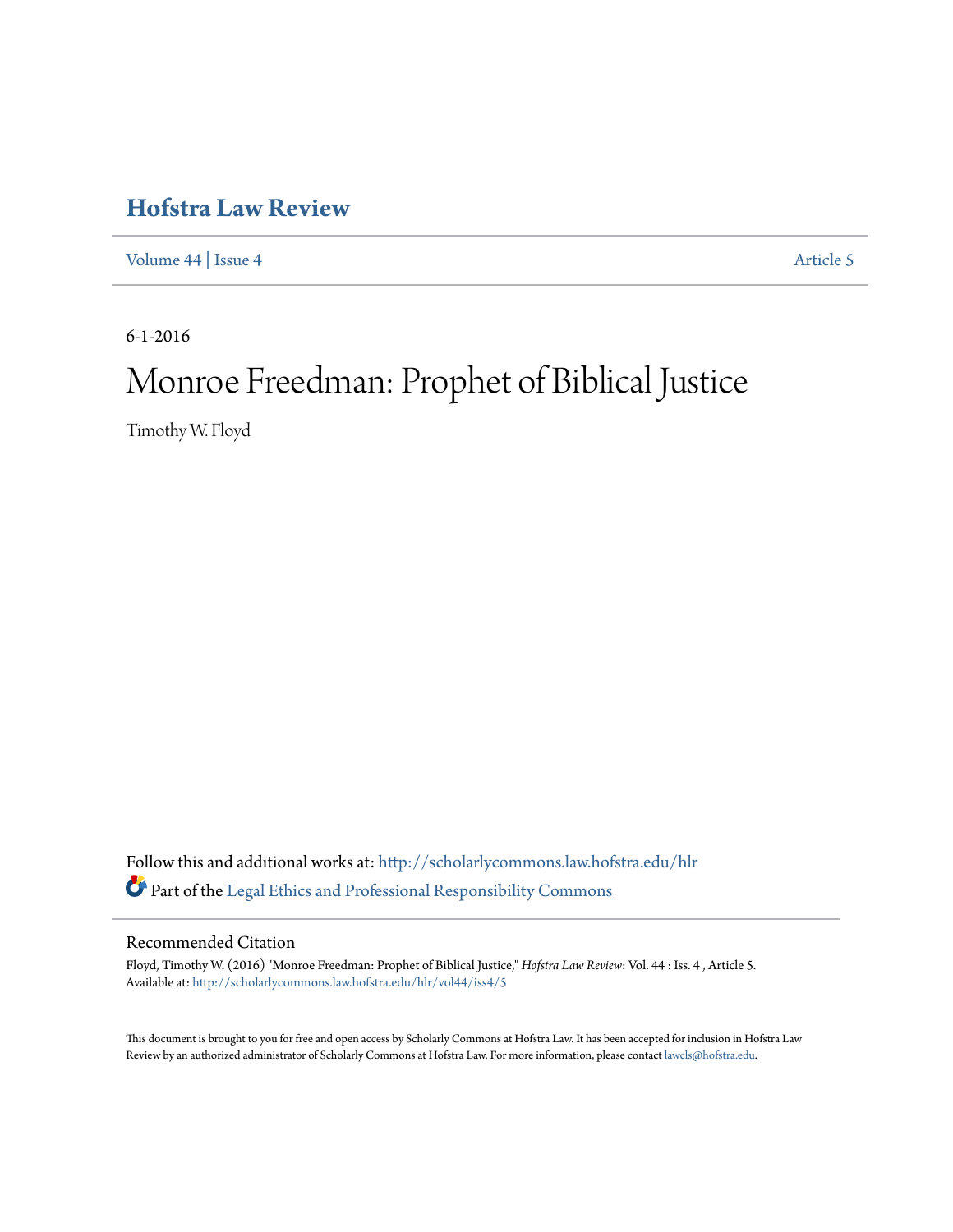## **[Hofstra Law Review](http://scholarlycommons.law.hofstra.edu/hlr?utm_source=scholarlycommons.law.hofstra.edu%2Fhlr%2Fvol44%2Fiss4%2F5&utm_medium=PDF&utm_campaign=PDFCoverPages)**

[Volume 44](http://scholarlycommons.law.hofstra.edu/hlr/vol44?utm_source=scholarlycommons.law.hofstra.edu%2Fhlr%2Fvol44%2Fiss4%2F5&utm_medium=PDF&utm_campaign=PDFCoverPages) | [Issue 4](http://scholarlycommons.law.hofstra.edu/hlr/vol44/iss4?utm_source=scholarlycommons.law.hofstra.edu%2Fhlr%2Fvol44%2Fiss4%2F5&utm_medium=PDF&utm_campaign=PDFCoverPages) [Article 5](http://scholarlycommons.law.hofstra.edu/hlr/vol44/iss4/5?utm_source=scholarlycommons.law.hofstra.edu%2Fhlr%2Fvol44%2Fiss4%2F5&utm_medium=PDF&utm_campaign=PDFCoverPages)

6-1-2016

# Monroe Freedman: Prophet of Biblical Justice

Timothy W. Floyd

Follow this and additional works at: [http://scholarlycommons.law.hofstra.edu/hlr](http://scholarlycommons.law.hofstra.edu/hlr?utm_source=scholarlycommons.law.hofstra.edu%2Fhlr%2Fvol44%2Fiss4%2F5&utm_medium=PDF&utm_campaign=PDFCoverPages) Part of the [Legal Ethics and Professional Responsibility Commons](http://network.bepress.com/hgg/discipline/895?utm_source=scholarlycommons.law.hofstra.edu%2Fhlr%2Fvol44%2Fiss4%2F5&utm_medium=PDF&utm_campaign=PDFCoverPages)

## Recommended Citation

Floyd, Timothy W. (2016) "Monroe Freedman: Prophet of Biblical Justice," *Hofstra Law Review*: Vol. 44 : Iss. 4 , Article 5. Available at: [http://scholarlycommons.law.hofstra.edu/hlr/vol44/iss4/5](http://scholarlycommons.law.hofstra.edu/hlr/vol44/iss4/5?utm_source=scholarlycommons.law.hofstra.edu%2Fhlr%2Fvol44%2Fiss4%2F5&utm_medium=PDF&utm_campaign=PDFCoverPages)

This document is brought to you for free and open access by Scholarly Commons at Hofstra Law. It has been accepted for inclusion in Hofstra Law Review by an authorized administrator of Scholarly Commons at Hofstra Law. For more information, please contact [lawcls@hofstra.edu](mailto:lawcls@hofstra.edu).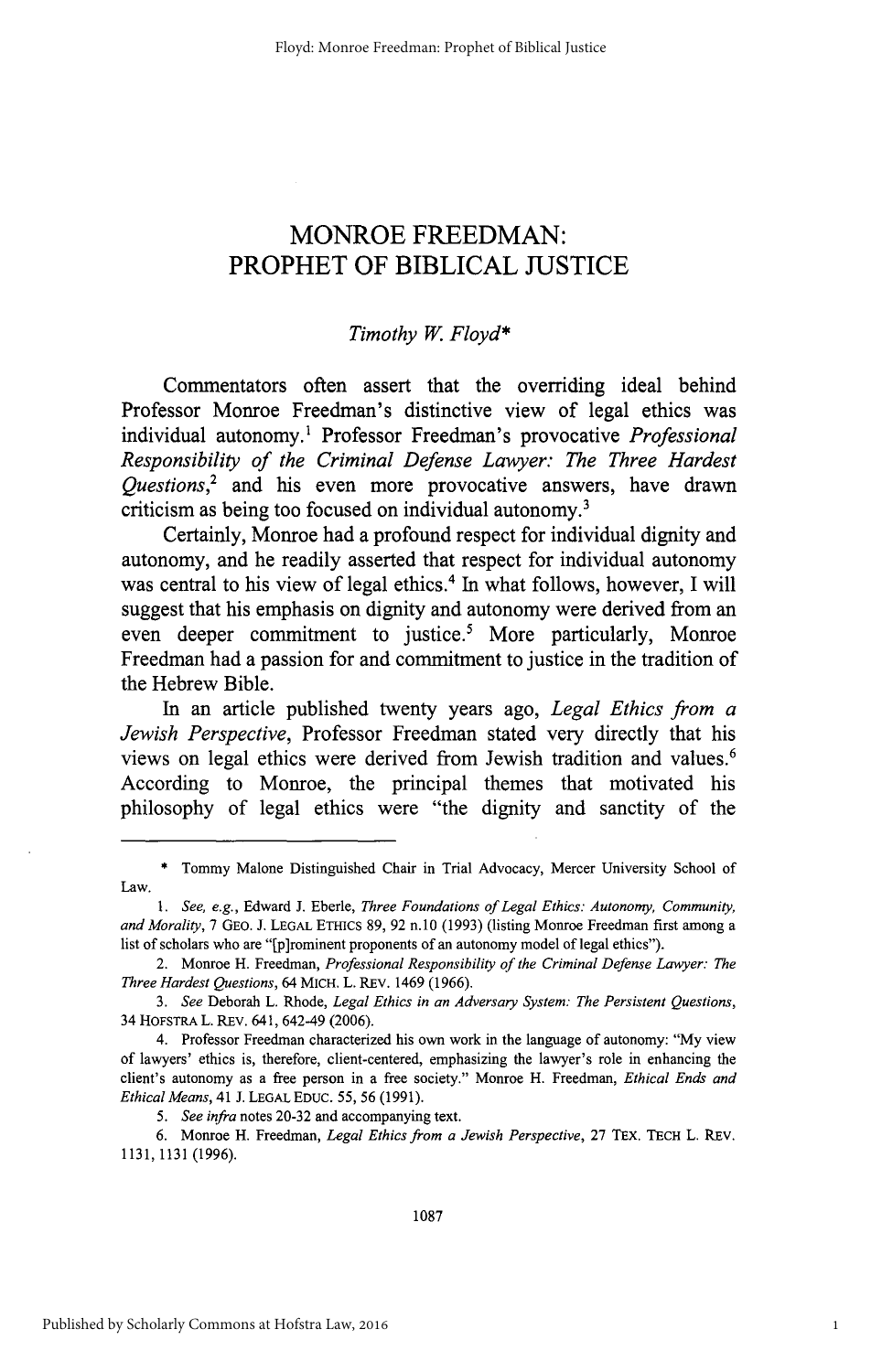## MONROE FREEDMAN: PROPHET OF BIBLICAL **JUSTICE**

### *Timothy* **W.** *Floyd\**

Commentators often assert that the overriding ideal behind Professor Monroe Freedman's distinctive view of legal ethics was individual autonomy.' Professor Freedman's provocative *Professional Responsibility of the Criminal Defense Lawyer: The Three Hardest Questions,2* and his even more provocative answers, have drawn criticism as being too focused on individual autonomy.'

Certainly, Monroe had a profound respect for individual dignity and autonomy, and he readily asserted that respect for individual autonomy was central to his view of legal ethics.' In what follows, however, **I** will suggest that his emphasis on dignity and autonomy were derived from an even deeper commitment to justice.<sup>5</sup> More particularly, Monroe Freedman had a passion for and commitment to justice in the tradition of the Hebrew Bible.

In an article published twenty years ago, *Legal Ethics from a Jewish Perspective,* Professor Freedman stated very directly that his views on legal ethics were derived from Jewish tradition and values.<sup>6</sup> According to Monroe, the principal themes that motivated his philosophy of legal ethics were "the dignity and sanctity of the

**<sup>\*</sup>** Tommy Malone Distinguished Chair in Trial Advocacy, Mercer University School of Law.

*<sup>1.</sup> See, e.g.,* Edward **J.** Eberle, *Three Foundations of Legal Ethics: Autonomy, Community, and Morality,* **7** GEO. **J. LEGAL** ETHICS **89, 92 n.10 (1993)** (listing Monroe Freedman first among a list of scholars who are "[p]rominent proponents **of** an autonomy model of legal ethics").

<sup>2.</sup> Monroe H. Freedman, *Professional Responsibility of the Criminal Defense Lawyer: The Three Hardest Questions,* 64 MICH. L. REV. 1469 **(1966).**

*<sup>3.</sup> See* Deborah L. Rhode, *Legal Ethics in an Adversary System: The Persistent Questions,* 34 **HOFSTRA** L. REV. 641, 642-49 **(2006).**

<sup>4.</sup> Professor Freedman characterized his own work in the language of autonomy: **"My** view of lawyers' ethics is, therefore, client-centered, emphasizing the lawyer's role in enhancing the client's autonomy as a free person in a free society." Monroe H. Freedman, *Ethical Ends and Ethical Means,* 41 **J. LEGAL EDUC. 55, 56 (1991).**

*<sup>5.</sup> See infra* notes **20-32** and accompanying text.

**<sup>6.</sup>** Monroe H. Freedman, *Legal Ethics from a Jewish Perspective,* **27 TEX. TECH** L. REV. **1131, 1131 (1996).**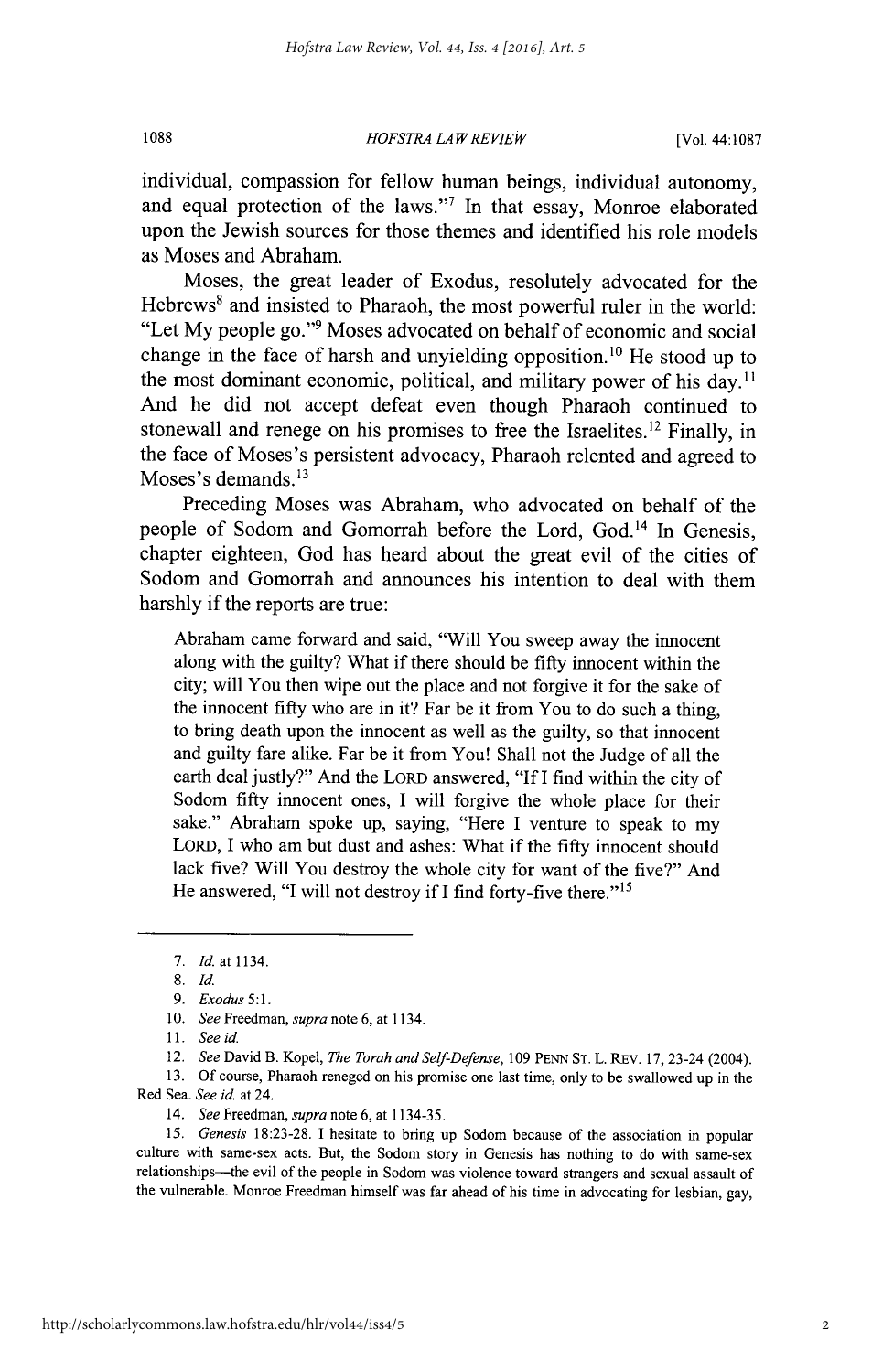*HOFSTRA LAW REVIEW* **1088** [Vol. 44:1087

individual, compassion for fellow human beings, individual autonomy, and equal protection of the laws."7 In that essay, Monroe elaborated upon the Jewish sources for those themes and identified his role models as Moses and Abraham.

Moses, the great leader of Exodus, resolutely advocated for the Hebrews<sup>8</sup> and insisted to Pharaoh, the most powerful ruler in the world: "Let My people go."<sup>9</sup> Moses advocated on behalf of economic and social change in the face of harsh and unyielding opposition.<sup>10</sup> He stood up to the most dominant economic, political, and military power of his day.<sup>11</sup> And he did not accept defeat even though Pharaoh continued to stonewall and renege on his promises to free the Israelites.<sup>12</sup> Finally, in the face of Moses's persistent advocacy, Pharaoh relented and agreed to Moses's demands. $^{13}$ 

Preceding Moses was Abraham, who advocated on behalf of the people of Sodom and Gomorrah before the Lord, God.<sup>14</sup> In Genesis, chapter eighteen, God has heard about the great evil of the cities of Sodom and Gomorrah and announces his intention to deal with them harshly if the reports are true:

Abraham came forward and said, "Will You sweep away the innocent along with the guilty? What if there should be fifty innocent within the city; will You then wipe out the place and not forgive it for the sake of the innocent fifty who are in it? Far be it from You to do such a thing, to bring death upon the innocent as well as the guilty, so that innocent and guilty fare alike. Far be it from You! Shall not the Judge of all the earth deal justly?" And the LORD answered, "If I find within the city of Sodom fifty innocent ones, I will forgive the whole place for their sake." Abraham spoke up, saying, "Here I venture to speak to my LORD, I who am but dust and ashes: What if the fifty innocent should lack five? Will You destroy the whole city for want of the five?" And He answered, "I will not destroy if I find forty-five there."<sup>15</sup>

13. Of course, Pharaoh reneged on his promise one last time, only to be swallowed up in the Red Sea. *See id.* at 24.

<sup>7.</sup> *Id.* at 1134.

<sup>8.</sup> *Id.*

*<sup>9.</sup> Exodus 5:1.*

<sup>10.</sup> *See* Freedman, *supra* note 6, at 1134.

<sup>11.</sup> *See id.*

<sup>12.</sup> *See* David B. Kopel, *The Torah and Self-Defense,* 109 PENN ST. L. REv. 17, 23-24 (2004).

<sup>14.</sup> *See* Freedman, *supra* note 6, at 1134-35.

*<sup>15.</sup> Genesis* 18:23-28. I hesitate to bring up Sodom because of the association in popular culture with same-sex acts. But, the Sodom story in Genesis has nothing to do with same-sex relationships-the evil of the people in Sodom was violence toward strangers and sexual assault of the vulnerable. Monroe Freedman himself was far ahead of his time in advocating for lesbian, gay,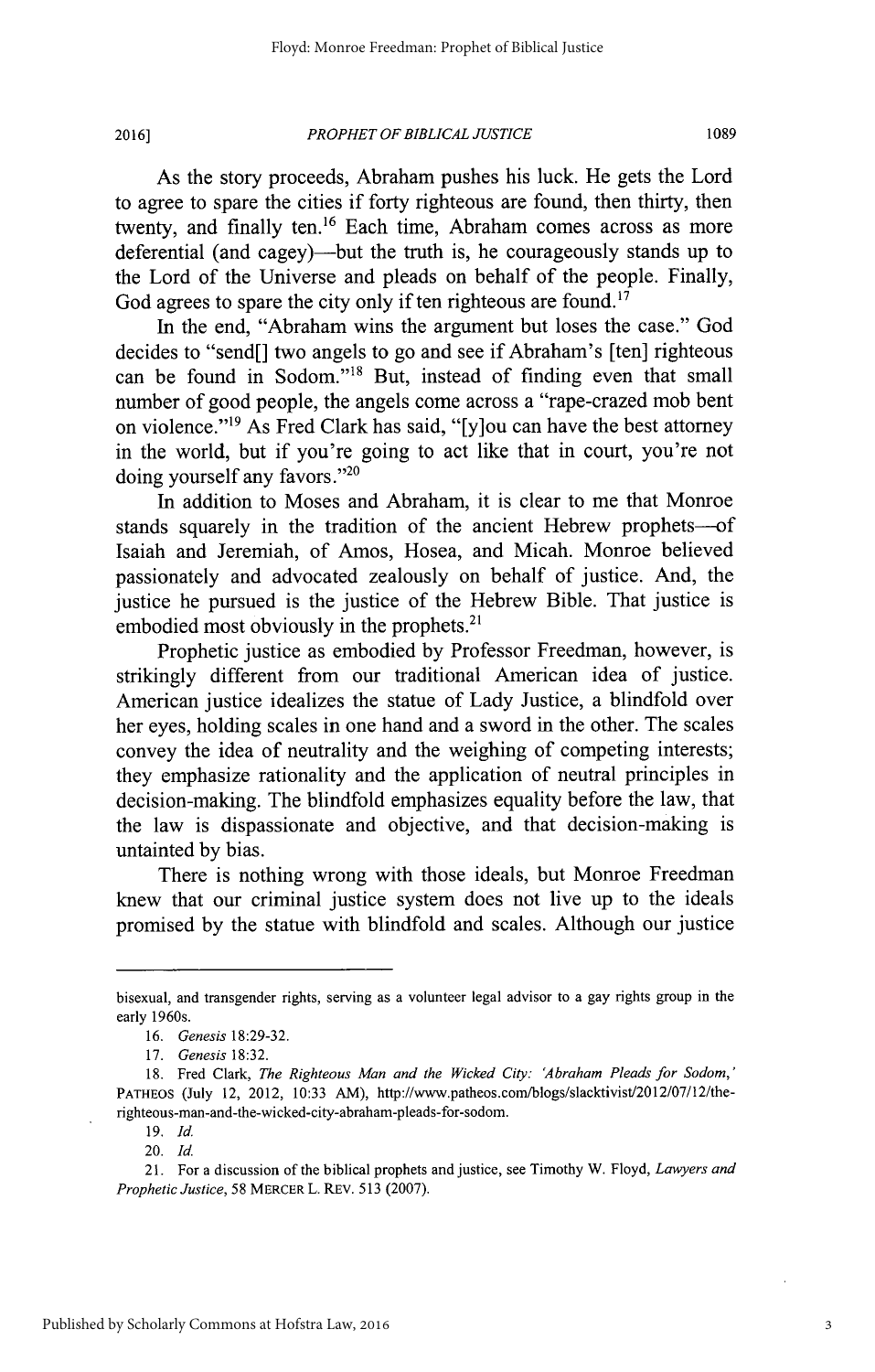**2016]**

As the story proceeds, Abraham pushes his luck. He gets the Lord to agree to spare the cities if forty righteous are found, then thirty, then twenty, and finally ten.<sup>16</sup> Each time, Abraham comes across as more deferential (and cagey)—but the truth is, he courageously stands up to the Lord of the Universe and pleads on behalf of the people. Finally, God agrees to spare the city only if ten righteous are found.<sup>17</sup>

In the end, "Abraham wins the argument but loses the case." God decides to "send[] two angels to go and see if Abraham's [ten] righteous can be found in Sodom."<sup>18</sup> But, instead of finding even that small number of good people, the angels come across a "rape-crazed mob bent on violence."19 As Fred Clark has said, "[y]ou can have the best attorney in the world, but if you're going to act like that in court, you're not doing yourself any favors."<sup>20</sup>

In addition to Moses and Abraham, it is clear to me that Monroe stands squarely in the tradition of the ancient Hebrew prophets--of Isaiah and Jeremiah, of Amos, Hosea, and Micah. Monroe believed passionately and advocated zealously on behalf of justice. And, the justice he pursued is the justice of the Hebrew Bible. That justice is embodied most obviously in the prophets. $2<sup>1</sup>$ 

Prophetic justice as embodied by Professor Freedman, however, is strikingly different from our traditional American idea of justice. American justice idealizes the statue of Lady Justice, a blindfold over her eyes, holding scales in one hand and a sword in the other. The scales convey the idea of neutrality and the weighing of competing interests; they emphasize rationality and the application of neutral principles in decision-making. The blindfold emphasizes equality before the law, that the law is dispassionate and objective, and that decision-making is untainted by bias.

There is nothing wrong with those ideals, but Monroe Freedman knew that our criminal justice system does not live up to the ideals promised by the statue with blindfold and scales. Although our justice

19. **Id.**

20. **Id.**

bisexual, and transgender rights, serving as a volunteer legal advisor to a gay rights group in the early 1960s.

<sup>16.</sup> *Genesis* 18:29-32.

<sup>17.</sup> *Genesis* 18:32.

<sup>18.</sup> Fred Clark, *The Righteous Man and the Wicked City: 'Abraham Pleads for* Sodom,' PATHEOS (July 12, 2012, 10:33 AM), http://www.patheos.com/blogs/slacktivist/2012/07/12/therighteous-man-and-the-wicked-city-abraham-pleads-for-sodom.

<sup>21.</sup> For a discussion of the biblical prophets and justice, see Timothy W. Floyd, *Lawyers and Prophetic Justice,* 58 MERCER L. REV. 513 (2007).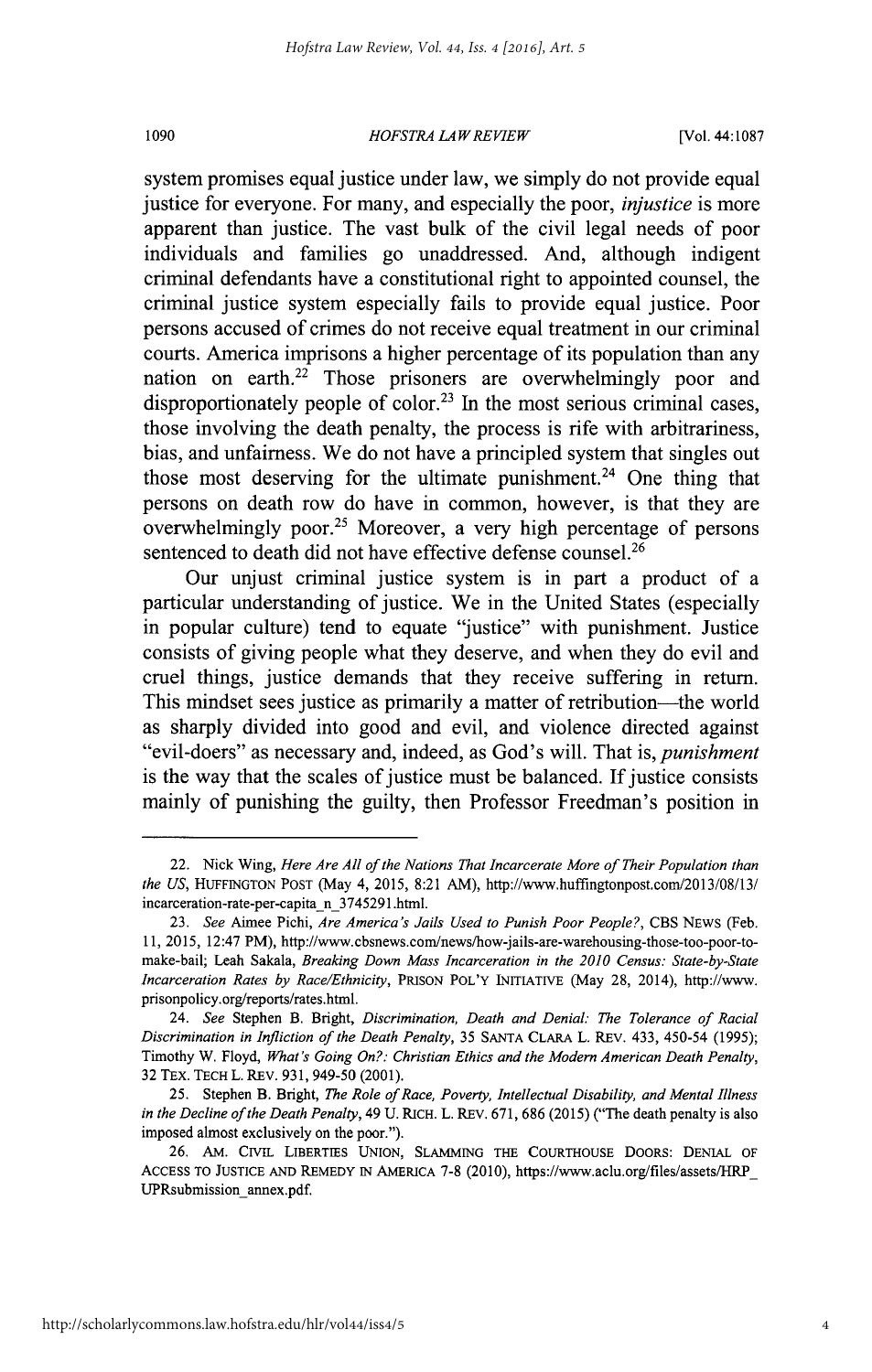1090

#### *HOFSTRA LA W REVIEW*

[Vol. 44:1087

system promises equal justice under law, we simply do not provide equal justice for everyone. For many, and especially the poor, *injustice* is more apparent than justice. The vast bulk of the civil legal needs of poor individuals and families go unaddressed. And, although indigent criminal defendants have a constitutional right to appointed counsel, the criminal justice system especially fails to provide equal justice. Poor persons accused of crimes do not receive equal treatment in our criminal courts. America imprisons a higher percentage of its population than any nation on earth.<sup>22</sup> Those prisoners are overwhelmingly poor and disproportionately people of color.<sup>23</sup> In the most serious criminal cases, those involving the death penalty, the process is rife with arbitrariness, bias, and unfairness. We do not have a principled system that singles out those most deserving for the ultimate punishment.<sup>24</sup> One thing that persons on death row do have in common, however, is that they are overwhelmingly poor.<sup>25</sup> Moreover, a very high percentage of persons sentenced to death did not have effective defense counsel.<sup>26</sup>

Our unjust criminal justice system is in part a product of a particular understanding of justice. We in the United States (especially in popular culture) tend to equate "justice" with punishment. Justice consists of giving people what they deserve, and when they do evil and cruel things, justice demands that they receive suffering in return. This mindset sees justice as primarily a matter of retribution—the world as sharply divided into good and evil, and violence directed against "evil-doers" as necessary and, indeed, as God's will. That is, *punishment* is the way that the scales of justice must be balanced. If justice consists mainly of punishing the guilty, then Professor Freedman's position in

<sup>22.</sup> Nick Wing, *Here Are All of the Nations That Incarcerate More of Their Population than the US,* HUFFINGTON POST (May 4, 2015, 8:21 AM), http://www.huffingtonpost.com/2013/08/13/ incarceration-rate-per-capita n\_3745291 .html.

<sup>23.</sup> *See* Aimee Pichi, *Are America's Jails Used to Punish Poor People?,* CBS NEWS (Feb. 11, 2015, 12:47 PM), http://www.cbsnews.com/news/how-jails-are-warehousing-those-too-poor-tomake-bail; Leah Sakala, *Breaking Down Mass Incarceration in the 2010 Census: State-by-State Incarceration Rates by Race/Ethnicity,* PRISON POL'Y INITIATIVE (May 28, 2014), http://www. prisonpolicy.org/reports/rates.html.

<sup>24.</sup> *See* Stephen B. Bright, *Discrimination, Death and Denial: The Tolerance of Racial Discrimination in Infliction of the Death Penalty,* 35 SANTA CLARA L. REv. 433, 450-54 (1995); Timothy W. Floyd, *What's Going On?: Christian Ethics and the Modern American Death Penalty,* 32 TEx. TECH L. REv. 931, 949-50 (2001).

<sup>25.</sup> Stephen B. Bright, *The Role of Race, Poverty, Intellectual Disability, and Mental Illness in the Decline of the Death Penalty,* 49 U. RICH. L. REv. 671, 686 (2015) ("The death penalty is also imposed almost exclusively on the poor.").

<sup>26.</sup> AM. CIviL LIBERTIES UNION, SLAMMING THE COURTHOUSE DOORS: DENIAL OF ACCESS TO JUSTICE AND REMEDY IN AMERICA 7-8 (2010), https://www.aclu.org/files/assets/fRP UPRsubmission annex.pdf.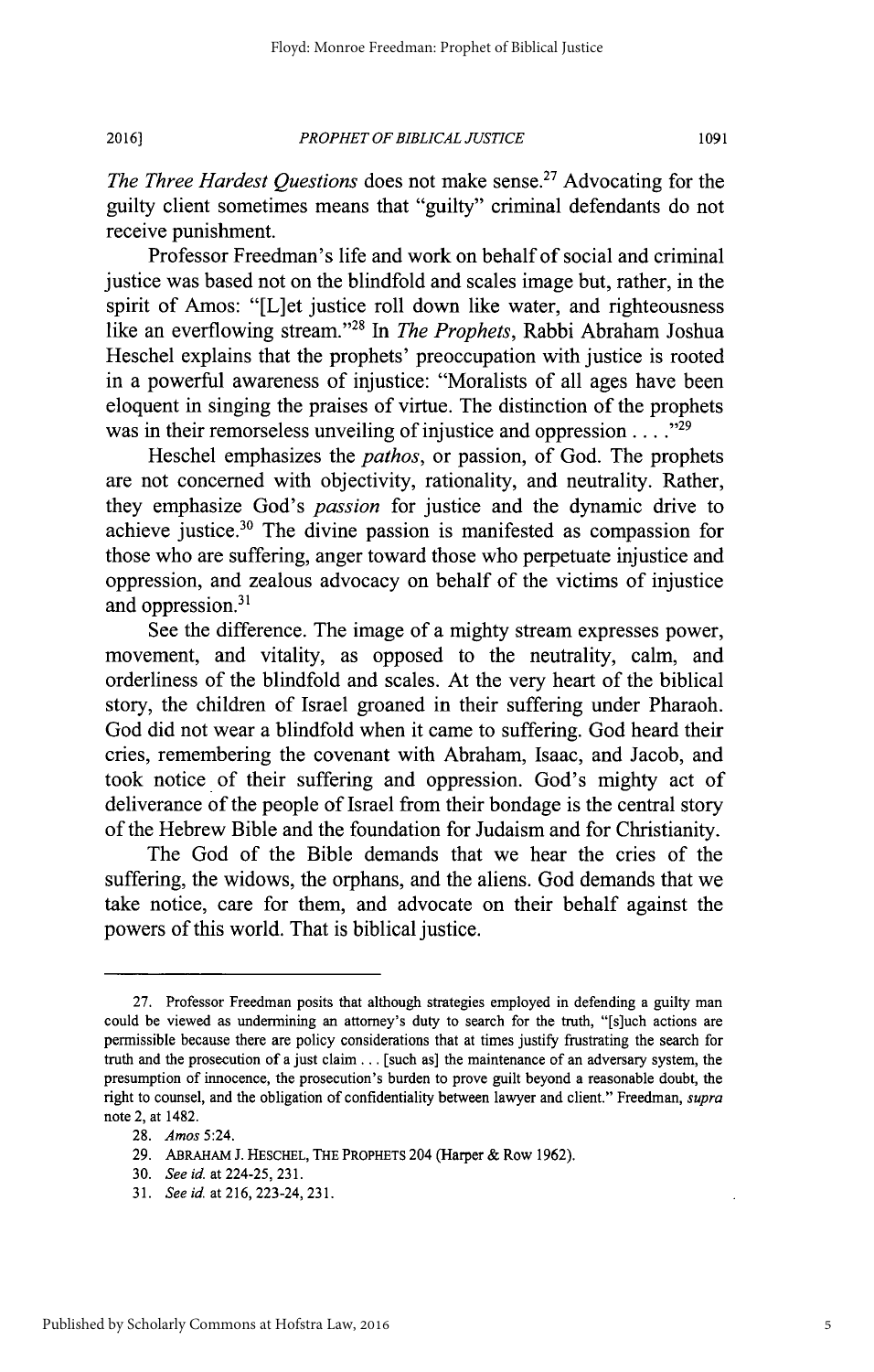*PROPHET OF BIBLICAL JUSTICE* **2016]**

1091

*The Three Hardest Questions* does not make sense.<sup>27</sup> Advocating for the guilty client sometimes means that "guilty" criminal defendants do not receive punishment.

Professor Freedman's life and work on behalf of social and criminal justice was based not on the blindfold and scales image but, rather, in the spirit of Amos: "[L]et justice roll down like water, and righteousness like an everflowing stream."<sup>28</sup> In *The Prophets*, Rabbi Abraham Joshua Heschel explains that the prophets' preoccupation with justice is rooted in a powerful awareness of injustice: "Moralists of all ages have been eloquent in singing the praises of virtue. The distinction of the prophets was in their remorseless unveiling of injustice and oppression . . . .<sup>229</sup>

Heschel emphasizes the *pathos,* or passion, of God. The prophets are not concerned with objectivity, rationality, and neutrality. Rather, they emphasize God's *passion* for justice and the dynamic drive to achieve justice.<sup>30</sup> The divine passion is manifested as compassion for those who are suffering, anger toward those who perpetuate injustice and oppression, and zealous advocacy on behalf of the victims of injustice and oppression.<sup>3</sup>

See the difference. The image of a mighty stream expresses power, movement, and vitality, as opposed to the neutrality, calm, and orderliness of the blindfold and scales. At the very heart of the biblical story, the children of Israel groaned in their suffering under Pharaoh. God did not wear a blindfold when it came to suffering. God heard their cries, remembering the covenant with Abraham, Isaac, and Jacob, and took notice of their suffering and oppression. God's mighty act of deliverance of the people of Israel from their bondage is the central story of the Hebrew Bible and the foundation for Judaism and for Christianity.

The God of the Bible demands that we hear the cries of the suffering, the widows, the orphans, and the aliens. God demands that we take notice, care for them, and advocate on their behalf against the powers of this world. That is biblical justice.

<sup>27.</sup> Professor Freedman posits that although strategies employed in defending a guilty man could be viewed as undermining an attorney's duty to search for the truth, "[s]uch actions are permissible because there are policy considerations that at times justify frustrating the search for truth and the prosecution of a just claim... [such as] the maintenance of an adversary system, the presumption of innocence, the prosecution's burden to prove guilt beyond a reasonable doubt, the right to counsel, and the obligation of confidentiality between lawyer and client." Freedman, *supra* note 2, at 1482.

<sup>28.</sup> *Amos* 5:24.

<sup>29.</sup> ABRAHAM J. **HESCHEL,** THE PROPHETS 204 (Harper & Row 1962).

<sup>30.</sup> *Seeid.* at224-25,231.

<sup>31.</sup> *See id.* at 216, 223-24, 231.